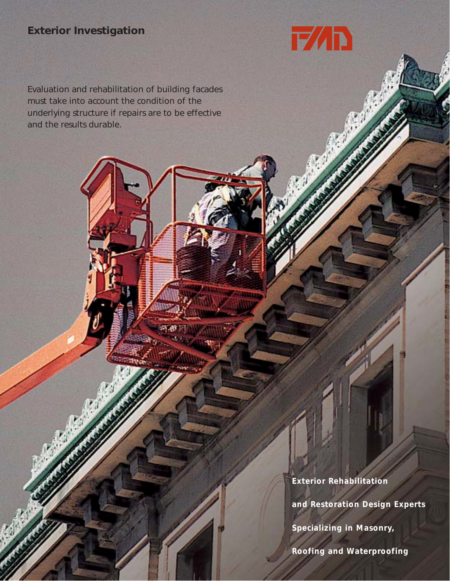## **Exterior Investigation**

Evaluation and rehabilitation of building facades must take into account the condition of the underlying structure if repairs are to be effective and the results durable.

> **Exterior Rehabilitation and Restoration Design Experts**

FAD

**Specializing in Masonry,** 

**Roofing and Waterproofing**